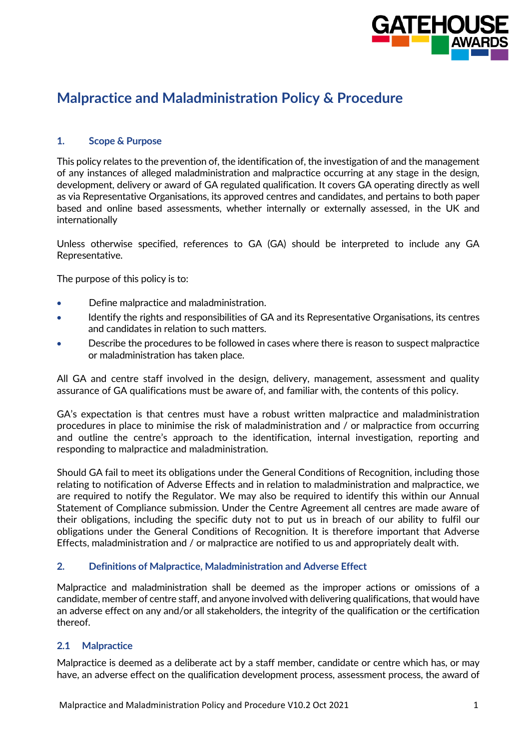

# **Malpractice and Maladministration Policy & Procedure**

# **1. Scope & Purpose**

This policy relates to the prevention of, the identification of, the investigation of and the management of any instances of alleged maladministration and malpractice occurring at any stage in the design, development, delivery or award of GA regulated qualification. It covers GA operating directly as well as via Representative Organisations, its approved centres and candidates, and pertains to both paper based and online based assessments, whether internally or externally assessed, in the UK and internationally

Unless otherwise specified, references to GA (GA) should be interpreted to include any GA Representative.

The purpose of this policy is to:

- Define malpractice and maladministration.
- Identify the rights and responsibilities of GA and its Representative Organisations, its centres and candidates in relation to such matters.
- Describe the procedures to be followed in cases where there is reason to suspect malpractice or maladministration has taken place.

All GA and centre staff involved in the design, delivery, management, assessment and quality assurance of GA qualifications must be aware of, and familiar with, the contents of this policy.

GA's expectation is that centres must have a robust written malpractice and maladministration procedures in place to minimise the risk of maladministration and / or malpractice from occurring and outline the centre's approach to the identification, internal investigation, reporting and responding to malpractice and maladministration.

Should GA fail to meet its obligations under the General Conditions of Recognition, including those relating to notification of Adverse Effects and in relation to maladministration and malpractice, we are required to notify the Regulator. We may also be required to identify this within our Annual Statement of Compliance submission. Under the Centre Agreement all centres are made aware of their obligations, including the specific duty not to put us in breach of our ability to fulfil our obligations under the General Conditions of Recognition. It is therefore important that Adverse Effects, maladministration and / or malpractice are notified to us and appropriately dealt with.

#### **2. Definitions of Malpractice, Maladministration and Adverse Effect**

Malpractice and maladministration shall be deemed as the improper actions or omissions of a candidate, member of centre staff, and anyone involved with delivering qualifications, that would have an adverse effect on any and/or all stakeholders, the integrity of the qualification or the certification thereof.

#### **2.1 Malpractice**

Malpractice is deemed as a deliberate act by a staff member, candidate or centre which has, or may have, an adverse effect on the qualification development process, assessment process, the award of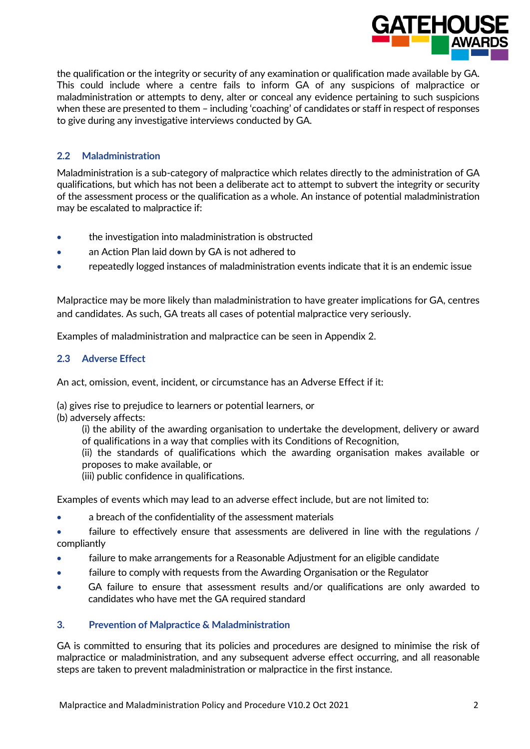

the qualification or the integrity or security of any examination or qualification made available by GA. This could include where a centre fails to inform GA of any suspicions of malpractice or maladministration or attempts to deny, alter or conceal any evidence pertaining to such suspicions when these are presented to them – including 'coaching' of candidates or staff in respect of responses to give during any investigative interviews conducted by GA.

# **2.2 Maladministration**

Maladministration is a sub-category of malpractice which relates directly to the administration of GA qualifications, but which has not been a deliberate act to attempt to subvert the integrity or security of the assessment process or the qualification as a whole. An instance of potential maladministration may be escalated to malpractice if:

- the investigation into maladministration is obstructed
- an Action Plan laid down by GA is not adhered to
- repeatedly logged instances of maladministration events indicate that it is an endemic issue

Malpractice may be more likely than maladministration to have greater implications for GA, centres and candidates. As such, GA treats all cases of potential malpractice very seriously.

Examples of maladministration and malpractice can be seen in Appendix 2.

# **2.3 Adverse Effect**

An act, omission, event, incident, or circumstance has an Adverse Effect if it:

(a) gives rise to prejudice to learners or potential learners, or

(b) adversely affects:

(i) the ability of the awarding organisation to undertake the development, delivery or award of qualifications in a way that complies with its Conditions of Recognition,

(ii) the standards of qualifications which the awarding organisation makes available or proposes to make available, or

(iii) public confidence in qualifications.

Examples of events which may lead to an adverse effect include, but are not limited to:

• a breach of the confidentiality of the assessment materials

failure to effectively ensure that assessments are delivered in line with the regulations / compliantly

- failure to make arrangements for a Reasonable Adjustment for an eligible candidate
- failure to comply with requests from the Awarding Organisation or the Regulator
- GA failure to ensure that assessment results and/or qualifications are only awarded to candidates who have met the GA required standard

# **3. Prevention of Malpractice & Maladministration**

GA is committed to ensuring that its policies and procedures are designed to minimise the risk of malpractice or maladministration, and any subsequent adverse effect occurring, and all reasonable steps are taken to prevent maladministration or malpractice in the first instance.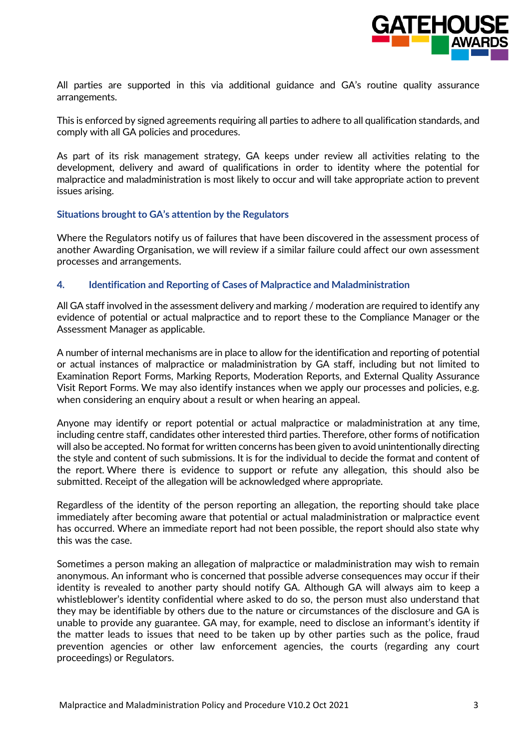

All parties are supported in this via additional guidance and GA's routine quality assurance arrangements.

This is enforced by signed agreements requiring all parties to adhere to all qualification standards, and comply with all GA policies and procedures.

As part of its risk management strategy, GA keeps under review all activities relating to the development, delivery and award of qualifications in order to identity where the potential for malpractice and maladministration is most likely to occur and will take appropriate action to prevent issues arising.

#### **Situations brought to GA's attention by the Regulators**

Where the Regulators notify us of failures that have been discovered in the assessment process of another Awarding Organisation, we will review if a similar failure could affect our own assessment processes and arrangements.

#### **4. Identification and Reporting of Cases of Malpractice and Maladministration**

All GA staff involved in the assessment delivery and marking / moderation are required to identify any evidence of potential or actual malpractice and to report these to the Compliance Manager or the Assessment Manager as applicable.

A number of internal mechanisms are in place to allow for the identification and reporting of potential or actual instances of malpractice or maladministration by GA staff, including but not limited to Examination Report Forms, Marking Reports, Moderation Reports, and External Quality Assurance Visit Report Forms. We may also identify instances when we apply our processes and policies, e.g. when considering an enquiry about a result or when hearing an appeal.

Anyone may identify or report potential or actual malpractice or maladministration at any time, including centre staff, candidates other interested third parties. Therefore, other forms of notification will also be accepted. No format for written concerns has been given to avoid unintentionally directing the style and content of such submissions. It is for the individual to decide the format and content of the report. Where there is evidence to support or refute any allegation, this should also be submitted. Receipt of the allegation will be acknowledged where appropriate.

Regardless of the identity of the person reporting an allegation, the reporting should take place immediately after becoming aware that potential or actual maladministration or malpractice event has occurred. Where an immediate report had not been possible, the report should also state why this was the case.

Sometimes a person making an allegation of malpractice or maladministration may wish to remain anonymous. An informant who is concerned that possible adverse consequences may occur if their identity is revealed to another party should notify GA. Although GA will always aim to keep a whistleblower's identity confidential where asked to do so, the person must also understand that they may be identifiable by others due to the nature or circumstances of the disclosure and GA is unable to provide any guarantee. GA may, for example, need to disclose an informant's identity if the matter leads to issues that need to be taken up by other parties such as the police, fraud prevention agencies or other law enforcement agencies, the courts (regarding any court proceedings) or Regulators.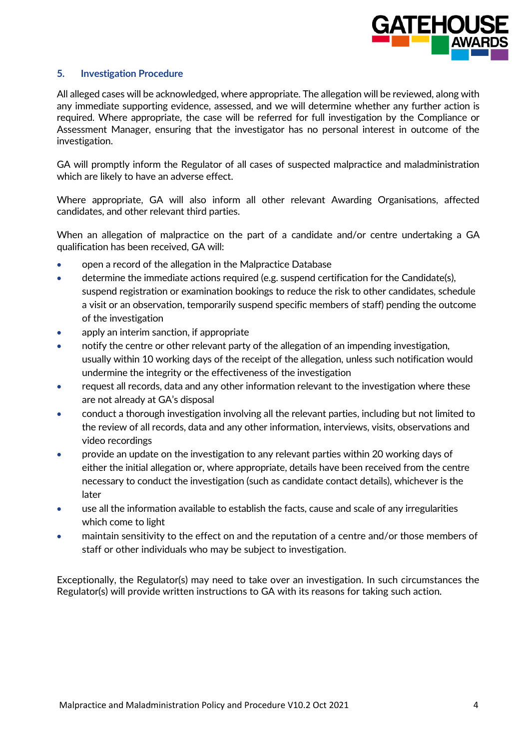

#### **5. Investigation Procedure**

All alleged cases will be acknowledged, where appropriate. The allegation will be reviewed, along with any immediate supporting evidence, assessed, and we will determine whether any further action is required. Where appropriate, the case will be referred for full investigation by the Compliance or Assessment Manager, ensuring that the investigator has no personal interest in outcome of the investigation.

GA will promptly inform the Regulator of all cases of suspected malpractice and maladministration which are likely to have an adverse effect.

Where appropriate, GA will also inform all other relevant Awarding Organisations, affected candidates, and other relevant third parties.

When an allegation of malpractice on the part of a candidate and/or centre undertaking a GA qualification has been received, GA will:

- open a record of the allegation in the Malpractice Database
- determine the immediate actions required (e.g. suspend certification for the Candidate(s), suspend registration or examination bookings to reduce the risk to other candidates, schedule a visit or an observation, temporarily suspend specific members of staff) pending the outcome of the investigation
- apply an interim sanction, if appropriate
- notify the centre or other relevant party of the allegation of an impending investigation, usually within 10 working days of the receipt of the allegation, unless such notification would undermine the integrity or the effectiveness of the investigation
- request all records, data and any other information relevant to the investigation where these are not already at GA's disposal
- conduct a thorough investigation involving all the relevant parties, including but not limited to the review of all records, data and any other information, interviews, visits, observations and video recordings
- provide an update on the investigation to any relevant parties within 20 working days of either the initial allegation or, where appropriate, details have been received from the centre necessary to conduct the investigation (such as candidate contact details), whichever is the later
- use all the information available to establish the facts, cause and scale of any irregularities which come to light
- maintain sensitivity to the effect on and the reputation of a centre and/or those members of staff or other individuals who may be subject to investigation.

Exceptionally, the Regulator(s) may need to take over an investigation. In such circumstances the Regulator(s) will provide written instructions to GA with its reasons for taking such action.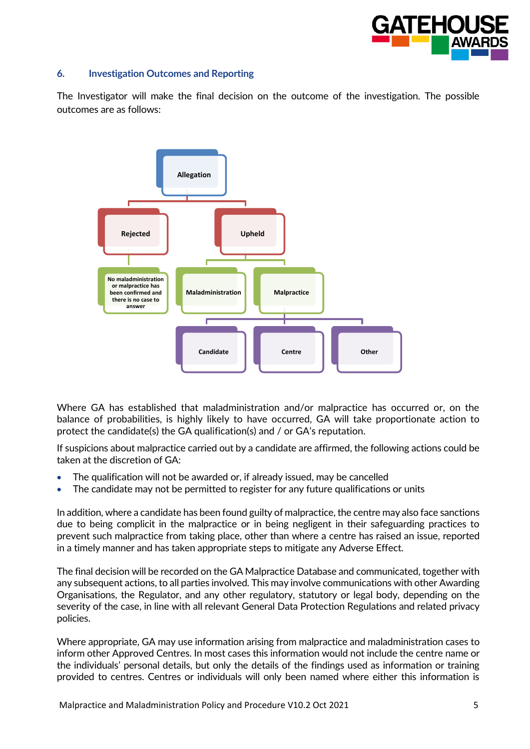

#### **6. Investigation Outcomes and Reporting**

The Investigator will make the final decision on the outcome of the investigation. The possible outcomes are as follows:



Where GA has established that maladministration and/or malpractice has occurred or, on the balance of probabilities, is highly likely to have occurred, GA will take proportionate action to protect the candidate(s) the GA qualification(s) and / or GA's reputation.

If suspicions about malpractice carried out by a candidate are affirmed, the following actions could be taken at the discretion of GA:

- The qualification will not be awarded or, if already issued, may be cancelled
- The candidate may not be permitted to register for any future qualifications or units

In addition, where a candidate has been found guilty of malpractice, the centre may also face sanctions due to being complicit in the malpractice or in being negligent in their safeguarding practices to prevent such malpractice from taking place, other than where a centre has raised an issue, reported in a timely manner and has taken appropriate steps to mitigate any Adverse Effect.

The final decision will be recorded on the GA Malpractice Database and communicated, together with any subsequent actions, to all parties involved. This may involve communications with other Awarding Organisations, the Regulator, and any other regulatory, statutory or legal body, depending on the severity of the case, in line with all relevant General Data Protection Regulations and related privacy policies.

Where appropriate, GA may use information arising from malpractice and maladministration cases to inform other Approved Centres. In most cases this information would not include the centre name or the individuals' personal details, but only the details of the findings used as information or training provided to centres. Centres or individuals will only been named where either this information is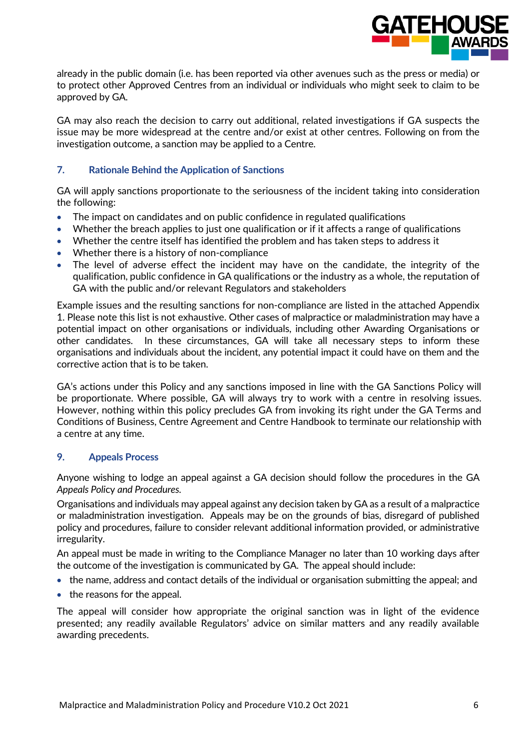

already in the public domain (i.e. has been reported via other avenues such as the press or media) or to protect other Approved Centres from an individual or individuals who might seek to claim to be approved by GA.

GA may also reach the decision to carry out additional, related investigations if GA suspects the issue may be more widespread at the centre and/or exist at other centres. Following on from the investigation outcome, a sanction may be applied to a Centre.

### **7. Rationale Behind the Application of Sanctions**

GA will apply sanctions proportionate to the seriousness of the incident taking into consideration the following:

- The impact on candidates and on public confidence in regulated qualifications
- Whether the breach applies to just one qualification or if it affects a range of qualifications
- Whether the centre itself has identified the problem and has taken steps to address it
- Whether there is a history of non-compliance
- The level of adverse effect the incident may have on the candidate, the integrity of the qualification, public confidence in GA qualifications or the industry as a whole, the reputation of GA with the public and/or relevant Regulators and stakeholders

Example issues and the resulting sanctions for non-compliance are listed in the attached Appendix 1. Please note this list is not exhaustive. Other cases of malpractice or maladministration may have a potential impact on other organisations or individuals, including other Awarding Organisations or other candidates. In these circumstances, GA will take all necessary steps to inform these organisations and individuals about the incident, any potential impact it could have on them and the corrective action that is to be taken.

GA's actions under this Policy and any sanctions imposed in line with the GA Sanctions Policy will be proportionate. Where possible, GA will always try to work with a centre in resolving issues. However, nothing within this policy precludes GA from invoking its right under the GA Terms and Conditions of Business, Centre Agreement and Centre Handbook to terminate our relationship with a centre at any time.

#### **9. Appeals Process**

Anyone wishing to lodge an appeal against a GA decision should follow the procedures in the GA *Appeals Poli*cy *and Procedures.*

Organisations and individuals may appeal against any decision taken by GA as a result of a malpractice or maladministration investigation. Appeals may be on the grounds of bias, disregard of published policy and procedures, failure to consider relevant additional information provided, or administrative irregularity.

An appeal must be made in writing to the Compliance Manager no later than 10 working days after the outcome of the investigation is communicated by GA. The appeal should include:

- the name, address and contact details of the individual or organisation submitting the appeal; and
- the reasons for the appeal.

The appeal will consider how appropriate the original sanction was in light of the evidence presented; any readily available Regulators' advice on similar matters and any readily available awarding precedents.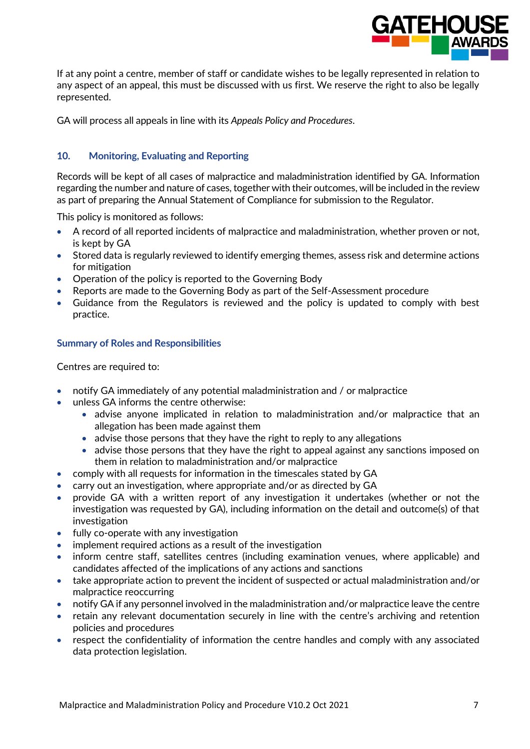

If at any point a centre, member of staff or candidate wishes to be legally represented in relation to any aspect of an appeal, this must be discussed with us first. We reserve the right to also be legally represented.

GA will process all appeals in line with its *Appeals Policy and Procedures*.

# **10. Monitoring, Evaluating and Reporting**

Records will be kept of all cases of malpractice and maladministration identified by GA. Information regarding the number and nature of cases, together with their outcomes, will be included in the review as part of preparing the Annual Statement of Compliance for submission to the Regulator.

This policy is monitored as follows:

- A record of all reported incidents of malpractice and maladministration, whether proven or not, is kept by GA
- Stored data is regularly reviewed to identify emerging themes, assess risk and determine actions for mitigation
- Operation of the policy is reported to the Governing Body
- Reports are made to the Governing Body as part of the Self-Assessment procedure
- Guidance from the Regulators is reviewed and the policy is updated to comply with best practice.

## **Summary of Roles and Responsibilities**

Centres are required to:

- notify GA immediately of any potential maladministration and / or malpractice
- unless GA informs the centre otherwise:
	- advise anyone implicated in relation to maladministration and/or malpractice that an allegation has been made against them
	- advise those persons that they have the right to reply to any allegations
	- advise those persons that they have the right to appeal against any sanctions imposed on them in relation to maladministration and/or malpractice
- comply with all requests for information in the timescales stated by GA
- carry out an investigation, where appropriate and/or as directed by GA
- provide GA with a written report of any investigation it undertakes (whether or not the investigation was requested by GA), including information on the detail and outcome(s) of that investigation
- fully co-operate with any investigation
- implement required actions as a result of the investigation
- inform centre staff, satellites centres (including examination venues, where applicable) and candidates affected of the implications of any actions and sanctions
- take appropriate action to prevent the incident of suspected or actual maladministration and/or malpractice reoccurring
- notify GA if any personnel involved in the maladministration and/or malpractice leave the centre
- retain any relevant documentation securely in line with the centre's archiving and retention policies and procedures
- respect the confidentiality of information the centre handles and comply with any associated data protection legislation.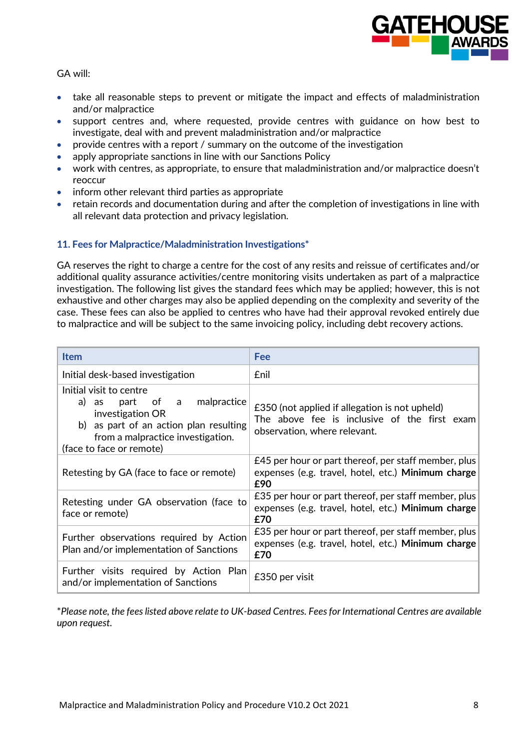

GA will:

- take all reasonable steps to prevent or mitigate the impact and effects of maladministration and/or malpractice
- support centres and, where requested, provide centres with guidance on how best to investigate, deal with and prevent maladministration and/or malpractice
- provide centres with a report / summary on the outcome of the investigation
- apply appropriate sanctions in line with our Sanctions Policy
- work with centres, as appropriate, to ensure that maladministration and/or malpractice doesn't reoccur
- inform other relevant third parties as appropriate
- retain records and documentation during and after the completion of investigations in line with all relevant data protection and privacy legislation.

## **11. Fees for Malpractice/Maladministration Investigations\***

GA reserves the right to charge a centre for the cost of any resits and reissue of certificates and/or additional quality assurance activities/centre monitoring visits undertaken as part of a malpractice investigation. The following list gives the standard fees which may be applied; however, this is not exhaustive and other charges may also be applied depending on the complexity and severity of the case. These fees can also be applied to centres who have had their approval revoked entirely due to malpractice and will be subject to the same invoicing policy, including debt recovery actions.

| <b>Item</b>                                                                                                                                                                           | Fee                                                                                                                            |
|---------------------------------------------------------------------------------------------------------------------------------------------------------------------------------------|--------------------------------------------------------------------------------------------------------------------------------|
| Initial desk-based investigation                                                                                                                                                      | <b>£nil</b>                                                                                                                    |
| Initial visit to centre<br>a) as part of a malpractice<br>investigation OR<br>b) as part of an action plan resulting<br>from a malpractice investigation.<br>(face to face or remote) | £350 (not applied if allegation is not upheld)<br>The above fee is inclusive of the first exam<br>observation, where relevant. |
| Retesting by GA (face to face or remote)                                                                                                                                              | £45 per hour or part thereof, per staff member, plus<br>expenses (e.g. travel, hotel, etc.) Minimum charge<br>£90              |
| Retesting under GA observation (face to<br>face or remote)                                                                                                                            | £35 per hour or part thereof, per staff member, plus<br>expenses (e.g. travel, hotel, etc.) Minimum charge<br>£70              |
| Further observations required by Action<br>Plan and/or implementation of Sanctions                                                                                                    | £35 per hour or part thereof, per staff member, plus<br>expenses (e.g. travel, hotel, etc.) Minimum charge<br>£70              |
| Further visits required by Action Plan<br>and/or implementation of Sanctions                                                                                                          | £350 per visit                                                                                                                 |

\**Please note, the fees listed above relate to UK-based Centres. Fees for International Centres are available upon request.*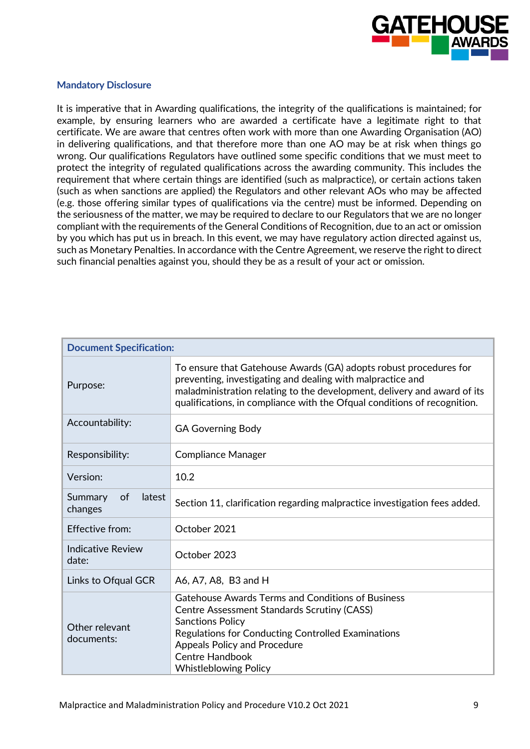

#### **Mandatory Disclosure**

It is imperative that in Awarding qualifications, the integrity of the qualifications is maintained; for example, by ensuring learners who are awarded a certificate have a legitimate right to that certificate. We are aware that centres often work with more than one Awarding Organisation (AO) in delivering qualifications, and that therefore more than one AO may be at risk when things go wrong. Our qualifications Regulators have outlined some specific conditions that we must meet to protect the integrity of regulated qualifications across the awarding community. This includes the requirement that where certain things are identified (such as malpractice), or certain actions taken (such as when sanctions are applied) the Regulators and other relevant AOs who may be affected (e.g. those offering similar types of qualifications via the centre) must be informed. Depending on the seriousness of the matter, we may be required to declare to our Regulators that we are no longer compliant with the requirements of the General Conditions of Recognition, due to an act or omission by you which has put us in breach. In this event, we may have regulatory action directed against us, such as Monetary Penalties. In accordance with the Centre Agreement, we reserve the right to direct such financial penalties against you, should they be as a result of your act or omission.

| <b>Document Specification:</b>     |                                                                                                                                                                                                                                                                                           |
|------------------------------------|-------------------------------------------------------------------------------------------------------------------------------------------------------------------------------------------------------------------------------------------------------------------------------------------|
| Purpose:                           | To ensure that Gatehouse Awards (GA) adopts robust procedures for<br>preventing, investigating and dealing with malpractice and<br>maladministration relating to the development, delivery and award of its<br>qualifications, in compliance with the Ofqual conditions of recognition.   |
| Accountability:                    | <b>GA Governing Body</b>                                                                                                                                                                                                                                                                  |
| Responsibility:                    | <b>Compliance Manager</b>                                                                                                                                                                                                                                                                 |
| Version:                           | 10.2                                                                                                                                                                                                                                                                                      |
| Summary<br>of<br>latest<br>changes | Section 11, clarification regarding malpractice investigation fees added.                                                                                                                                                                                                                 |
| Effective from:                    | October 2021                                                                                                                                                                                                                                                                              |
| Indicative Review<br>date:         | October 2023                                                                                                                                                                                                                                                                              |
| Links to Ofqual GCR                | A6, A7, A8, B3 and H                                                                                                                                                                                                                                                                      |
| Other relevant<br>documents:       | Gatehouse Awards Terms and Conditions of Business<br><b>Centre Assessment Standards Scrutiny (CASS)</b><br><b>Sanctions Policy</b><br>Regulations for Conducting Controlled Examinations<br><b>Appeals Policy and Procedure</b><br><b>Centre Handbook</b><br><b>Whistleblowing Policy</b> |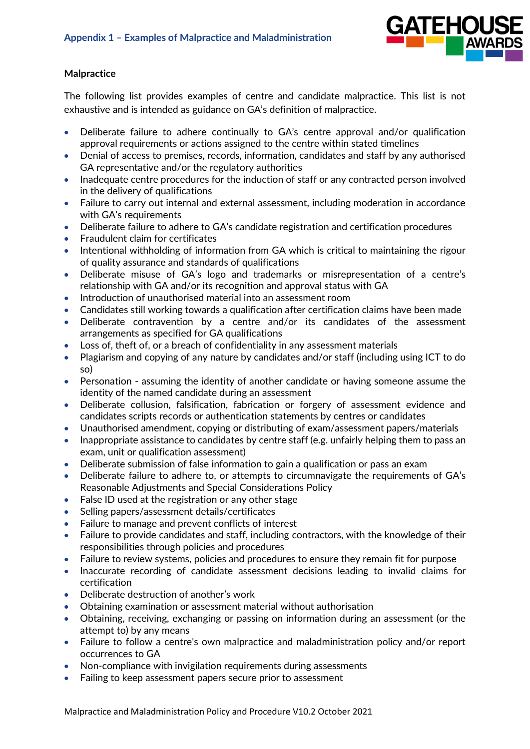

## **Malpractice**

The following list provides examples of centre and candidate malpractice. This list is not exhaustive and is intended as guidance on GA's definition of malpractice.

- Deliberate failure to adhere continually to GA's centre approval and/or qualification approval requirements or actions assigned to the centre within stated timelines
- Denial of access to premises, records, information, candidates and staff by any authorised GA representative and/or the regulatory authorities
- Inadequate centre procedures for the induction of staff or any contracted person involved in the delivery of qualifications
- Failure to carry out internal and external assessment, including moderation in accordance with GA's requirements
- Deliberate failure to adhere to GA's candidate registration and certification procedures
- Fraudulent claim for certificates
- Intentional withholding of information from GA which is critical to maintaining the rigour of quality assurance and standards of qualifications
- Deliberate misuse of GA's logo and trademarks or misrepresentation of a centre's relationship with GA and/or its recognition and approval status with GA
- Introduction of unauthorised material into an assessment room
- Candidates still working towards a qualification after certification claims have been made
- Deliberate contravention by a centre and/or its candidates of the assessment arrangements as specified for GA qualifications
- Loss of, theft of, or a breach of confidentiality in any assessment materials
- Plagiarism and copying of any nature by candidates and/or staff (including using ICT to do so)
- Personation assuming the identity of another candidate or having someone assume the identity of the named candidate during an assessment
- Deliberate collusion, falsification, fabrication or forgery of assessment evidence and candidates scripts records or authentication statements by centres or candidates
- Unauthorised amendment, copying or distributing of exam/assessment papers/materials
- Inappropriate assistance to candidates by centre staff (e.g. unfairly helping them to pass an exam, unit or qualification assessment)
- Deliberate submission of false information to gain a qualification or pass an exam
- Deliberate failure to adhere to, or attempts to circumnavigate the requirements of GA's Reasonable Adjustments and Special Considerations Policy
- False ID used at the registration or any other stage
- Selling papers/assessment details/certificates
- Failure to manage and prevent conflicts of interest
- Failure to provide candidates and staff, including contractors, with the knowledge of their responsibilities through policies and procedures
- Failure to review systems, policies and procedures to ensure they remain fit for purpose
- Inaccurate recording of candidate assessment decisions leading to invalid claims for certification
- Deliberate destruction of another's work
- Obtaining examination or assessment material without authorisation
- Obtaining, receiving, exchanging or passing on information during an assessment (or the attempt to) by any means
- Failure to follow a centre's own malpractice and maladministration policy and/or report occurrences to GA
- Non-compliance with invigilation requirements during assessments
- Failing to keep assessment papers secure prior to assessment